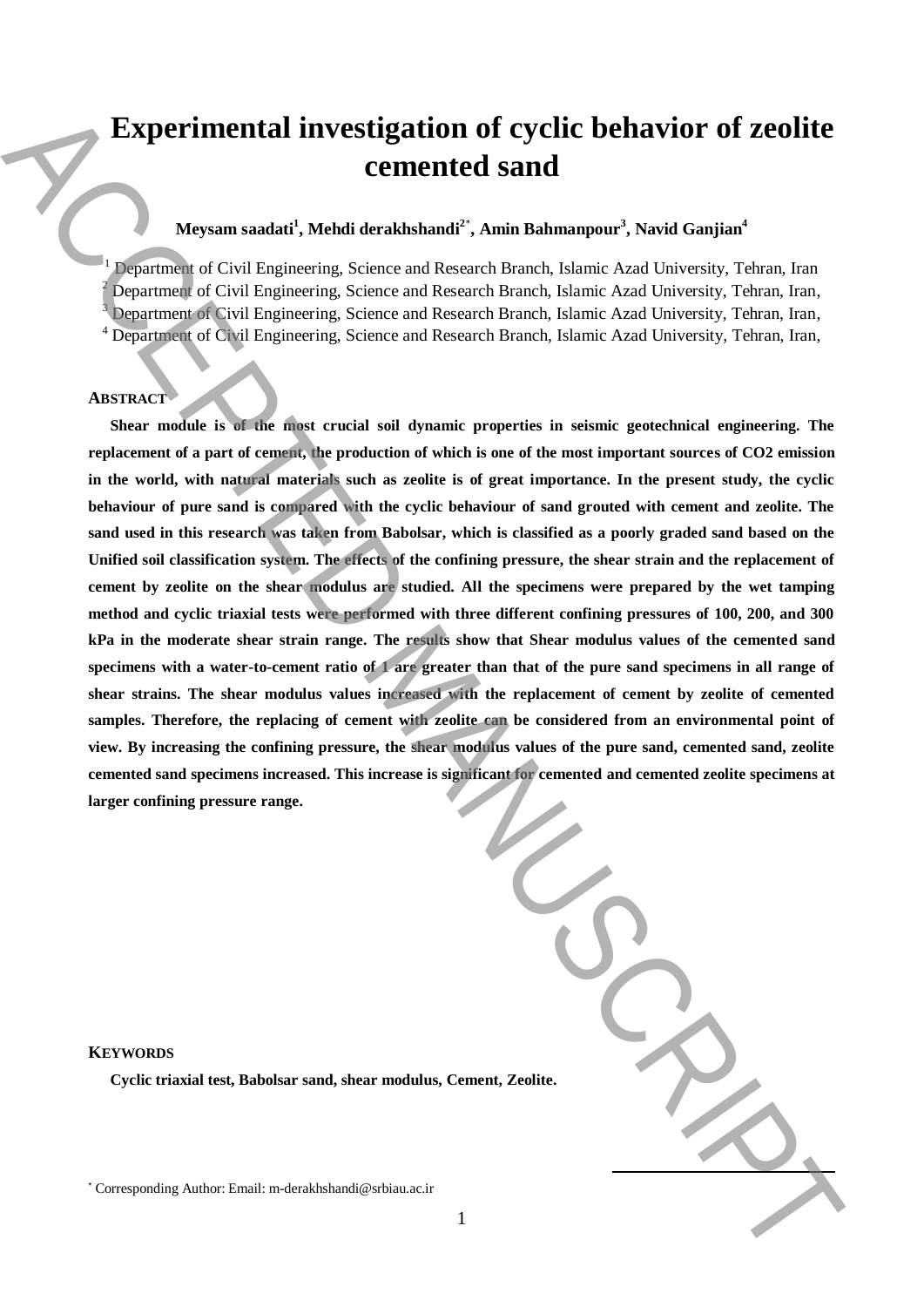# **Experimental investigation of cyclic behavior of zeolite cemented sand**

## **Meysam saadati<sup>1</sup> , Mehdi derakhshandi<sup>2</sup>**\* **, Amin Bahmanpour<sup>3</sup> , Navid Ganjian<sup>4</sup>**

 Department of Civil Engineering, Science and Research Branch, Islamic Azad University, Tehran, Iran Department of Civil Engineering, Science and Research Branch, Islamic Azad University, Tehran, Iran, <sup>3</sup> Department of Civil Engineering, Science and Research Branch, Islamic Azad University, Tehran, Iran, Department of Civil Engineering, Science and Research Branch, Islamic Azad University, Tehran, Iran,

### **ABSTRACT**

**Shear module is of the most crucial soil dynamic properties in seismic geotechnical engineering. The replacement of a part of cement, the production of which is one of the most important sources of CO2 emission in the world, with natural materials such as zeolite is of great importance. In the present study, the cyclic behaviour of pure sand is compared with the cyclic behaviour of sand grouted with cement and zeolite. The sand used in this research was taken from Babolsar, which is classified as a poorly graded sand based on the Unified soil classification system. The effects of the confining pressure, the shear strain and the replacement of cement by zeolite on the shear modulus are studied. All the specimens were prepared by the wet tamping method and cyclic triaxial tests were performed with three different confining pressures of 100, 200, and 300 kPa in the moderate shear strain range. The results show that Shear modulus values of the cemented sand specimens with a water-to-cement ratio of 1 are greater than that of the pure sand specimens in all range of shear strains. The shear modulus values increased with the replacement of cement by zeolite of cemented samples. Therefore, the replacing of cement with zeolite can be considered from an environmental point of view. By increasing the confining pressure, the shear modulus values of the pure sand, cemented sand, zeolite cemented sand specimens increased. This increase is significant for cemented and cemented zeolite specimens at larger confining pressure range.** Experimental investigation of cyclic behavior of zeolite<br>
Corresponding Alexanderis, Since and Reason fluxely, Analomouse, Navid Ganjum<sup>1</sup><br>
May be computed at Carl Engineering, Since and Reason fluxely, hasne, Analomouse,

| eolite. |  |
|---------|--|
|         |  |

**KEYWORDS**

**Cyclic triaxial test, Babolsar sand, shear modulus, Cement, Zeology**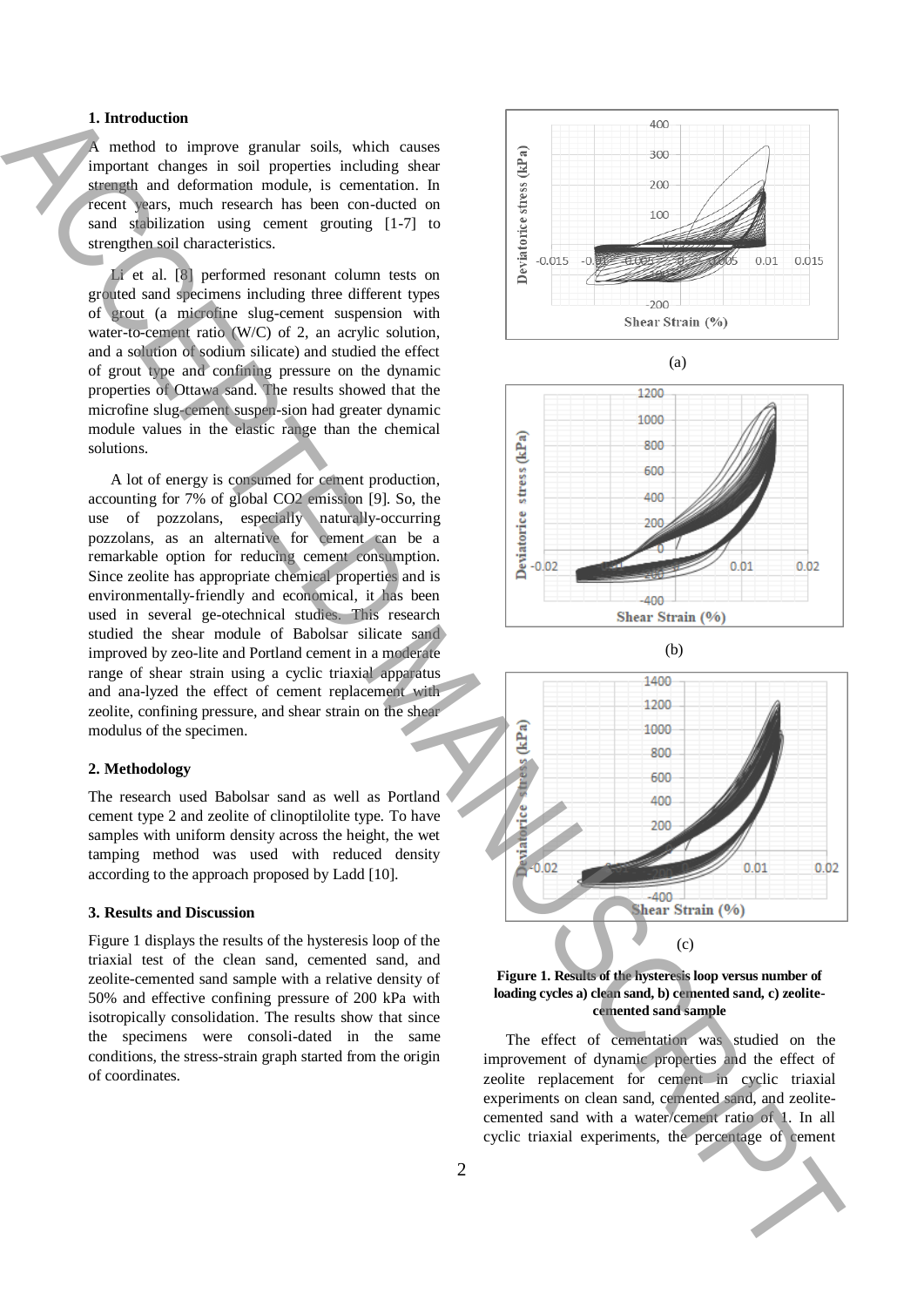#### **1. Introduction**

method to improve granular soils, which causes important changes in soil properties including shear strength and deformation module, is cementation. In recent years, much research has been con-ducted on sand stabilization using cement grouting [1-7] to strengthen soil characteristics.

Li et al. [8] performed resonant column tests on grouted sand specimens including three different types of grout (a microfine slug-cement suspension with water-to-cement ratio (W/C) of 2, an acrylic solution, and a solution of sodium silicate) and studied the effect of grout type and confining pressure on the dynamic properties of Ottawa sand. The results showed that the microfine slug-cement suspen-sion had greater dynamic module values in the elastic range than the chemical solutions.

A lot of energy is consumed for cement production, accounting for 7% of global CO2 emission [9]. So, the use of pozzolans, especially naturally-occurring pozzolans, as an alternative for cement can be a remarkable option for reducing cement consumption. Since zeolite has appropriate chemical properties and is environmentally-friendly and economical, it has been used in several ge-otechnical studies. This research studied the shear module of Babolsar silicate sand improved by zeo-lite and Portland cement in a moderate range of shear strain using a cyclic triaxial apparatus and ana-lyzed the effect of cement replacement with zeolite, confining pressure, and shear strain on the shear modulus of the specimen.

#### **2. Methodology**

The research used Babolsar sand as well as Portland cement type 2 and zeolite of clinoptilolite type. To have samples with uniform density across the height, the wet tamping method was used with reduced density according to the approach proposed by Ladd [10].

#### **3. Results and Discussion**

Figure 1 displays the results of the hysteresis loop of the triaxial test of the clean sand, cemented sand, and zeolite-cemented sand sample with a relative density of 50% and effective confining pressure of 200 kPa with isotropically consolidation. The results show that since the specimens were consoli-dated in the same conditions, the stress-strain graph started from the origin of coordinates.











The effect of cementation was studied on the improvement of dynamic properties and the effect of zeolite replacement for cement in cyclic triaxial experiments on clean sand, cemented sand, and zeolitecemented sand with a water/cement ratio of 1. In all